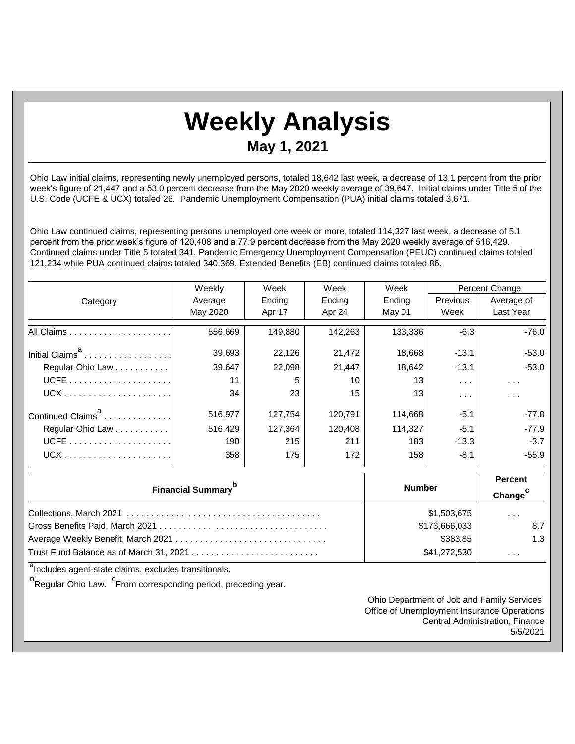## **Weekly Analysis**

## **May 1, 2021**

Ohio Law initial claims, representing newly unemployed persons, totaled 18,642 last week, a decrease of 13.1 percent from the prior week's figure of 21,447 and a 53.0 percent decrease from the May 2020 weekly average of 39,647. Initial claims under Title 5 of the U.S. Code (UCFE & UCX) totaled 26. Pandemic Unemployment Compensation (PUA) initial claims totaled 3,671.

Ohio Law continued claims, representing persons unemployed one week or more, totaled 114,327 last week, a decrease of 5.1 percent from the prior week's figure of 120,408 and a 77.9 percent decrease from the May 2020 weekly average of 516,429. Continued claims under Title 5 totaled 341. Pandemic Emergency Unemployment Compensation (PEUC) continued claims totaled 121,234 while PUA continued claims totaled 340,369. Extended Benefits (EB) continued claims totaled 86.

|                               | Weekly   | Week    | Week    | Week    | Percent Change                        |                      |
|-------------------------------|----------|---------|---------|---------|---------------------------------------|----------------------|
| Category                      | Average  | Ending  | Ending  | Ending  | <b>Previous</b>                       | Average of           |
|                               | May 2020 | Apr 17  | Apr 24  | May 01  | Week                                  | Last Year            |
|                               | 556,669  | 149.880 | 142,263 | 133,336 | $-6.3$                                | $-76.0$              |
| Initial Claims <sup>a</sup>   | 39,693   | 22,126  | 21,472  | 18,668  | $-13.1$                               | $-53.0$              |
| Regular Ohio Law              | 39,647   | 22,098  | 21,447  | 18,642  | $-13.1$                               | $-53.0$              |
|                               | 11       | 5       | 10      | 13      | $\mathbf{r} \rightarrow \mathbf{r}$ . | $\sim$ $\sim$ $\sim$ |
|                               | 34       | 23      | 15      | 13      | $\sim$ $\sim$ $\sim$                  | $\cdots$             |
| Continued Claims <sup>a</sup> | 516,977  | 127,754 | 120,791 | 114.668 | $-5.1$                                | $-77.8$              |
| Regular Ohio Law              | 516,429  | 127.364 | 120.408 | 114.327 | $-5.1$                                | $-77.9$              |
|                               | 190      | 215     | 211     | 183     | $-13.3$                               | $-3.7$               |
| $UCX$                         | 358      | 175     | 172     | 158     | $-8.1$                                | $-55.9$              |

| <b>Financial Summary</b>                                                                          | <b>Number</b> | <b>Percent</b><br>Change <sup>c</sup> |
|---------------------------------------------------------------------------------------------------|---------------|---------------------------------------|
|                                                                                                   | \$1,503,675   | $\cdots$                              |
|                                                                                                   | \$173,666,033 | 8.7                                   |
|                                                                                                   | \$383.85      | 1.3                                   |
| Trust Fund Balance as of March 31, 2021 $\dots\dots\dots\dots\dots\dots\dots\dots\dots\dots\dots$ | \$41,272,530  | $\cdots$                              |

<sup>a</sup>Includes agent-state claims, excludes transitionals.

<sup>b</sup>Regular Ohio Law. <sup>C</sup>From corresponding period, preceding year.

Ohio Department of Job and Family Services Office of Unemployment Insurance Operations Central Administration, Finance 5/5/2021